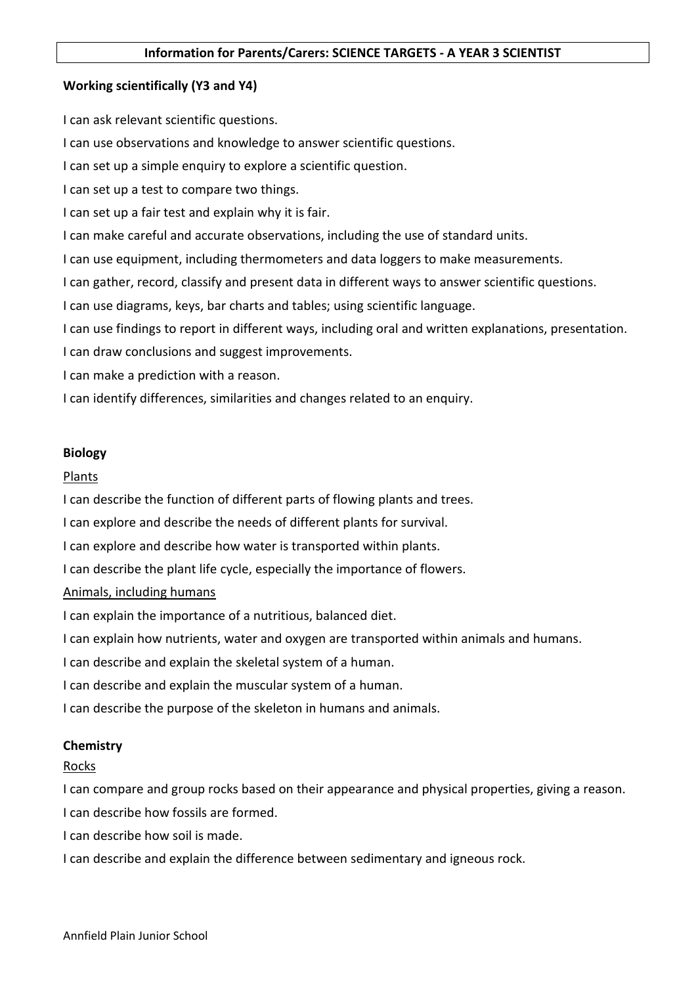### Working scientifically (Y3 and Y4)

I can ask relevant scientific questions.

I can use observations and knowledge to answer scientific questions.

I can set up a simple enquiry to explore a scientific question.

I can set up a test to compare two things.

I can set up a fair test and explain why it is fair.

I can make careful and accurate observations, including the use of standard units.

I can use equipment, including thermometers and data loggers to make measurements.

I can gather, record, classify and present data in different ways to answer scientific questions.

I can use diagrams, keys, bar charts and tables; using scientific language.

I can use findings to report in different ways, including oral and written explanations, presentation.

I can draw conclusions and suggest improvements.

I can make a prediction with a reason.

I can identify differences, similarities and changes related to an enquiry.

#### Biology

### Plants

I can describe the function of different parts of flowing plants and trees.

I can explore and describe the needs of different plants for survival.

I can explore and describe how water is transported within plants.

I can describe the plant life cycle, especially the importance of flowers.

#### Animals, including humans

I can explain the importance of a nutritious, balanced diet.

I can explain how nutrients, water and oxygen are transported within animals and humans.

I can describe and explain the skeletal system of a human.

I can describe and explain the muscular system of a human.

I can describe the purpose of the skeleton in humans and animals.

# **Chemistry**

# Rocks

I can compare and group rocks based on their appearance and physical properties, giving a reason. I can describe how fossils are formed.

I can describe how soil is made.

I can describe and explain the difference between sedimentary and igneous rock.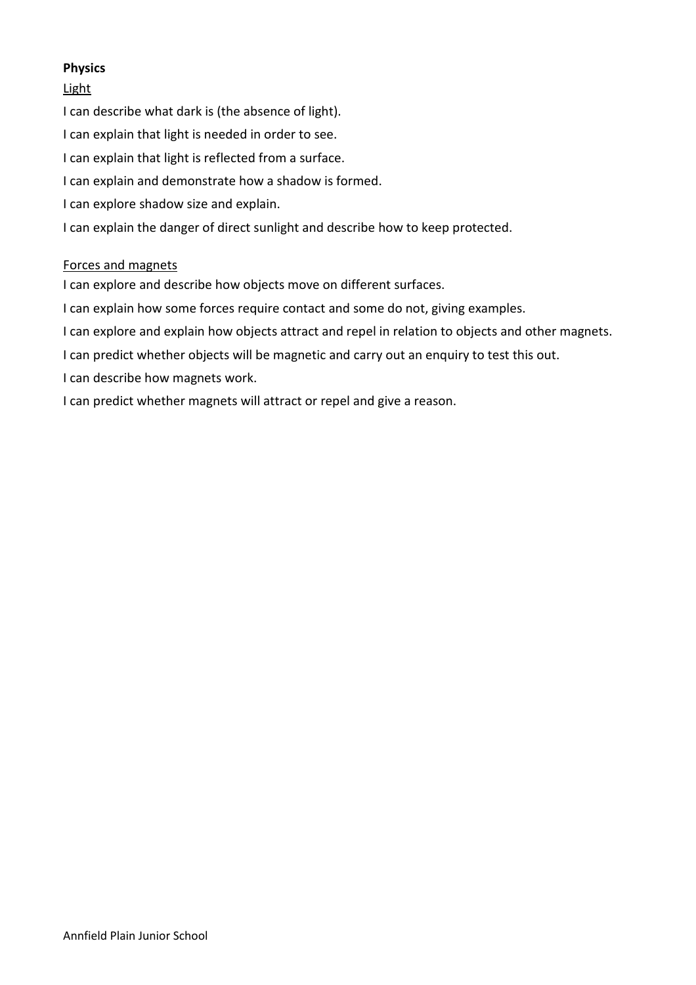# Physics

# Light

I can describe what dark is (the absence of light).

- I can explain that light is needed in order to see.
- I can explain that light is reflected from a surface.
- I can explain and demonstrate how a shadow is formed.
- I can explore shadow size and explain.
- I can explain the danger of direct sunlight and describe how to keep protected.

# Forces and magnets

I can explore and describe how objects move on different surfaces.

I can explain how some forces require contact and some do not, giving examples.

I can explore and explain how objects attract and repel in relation to objects and other magnets.

- I can predict whether objects will be magnetic and carry out an enquiry to test this out.
- I can describe how magnets work.

I can predict whether magnets will attract or repel and give a reason.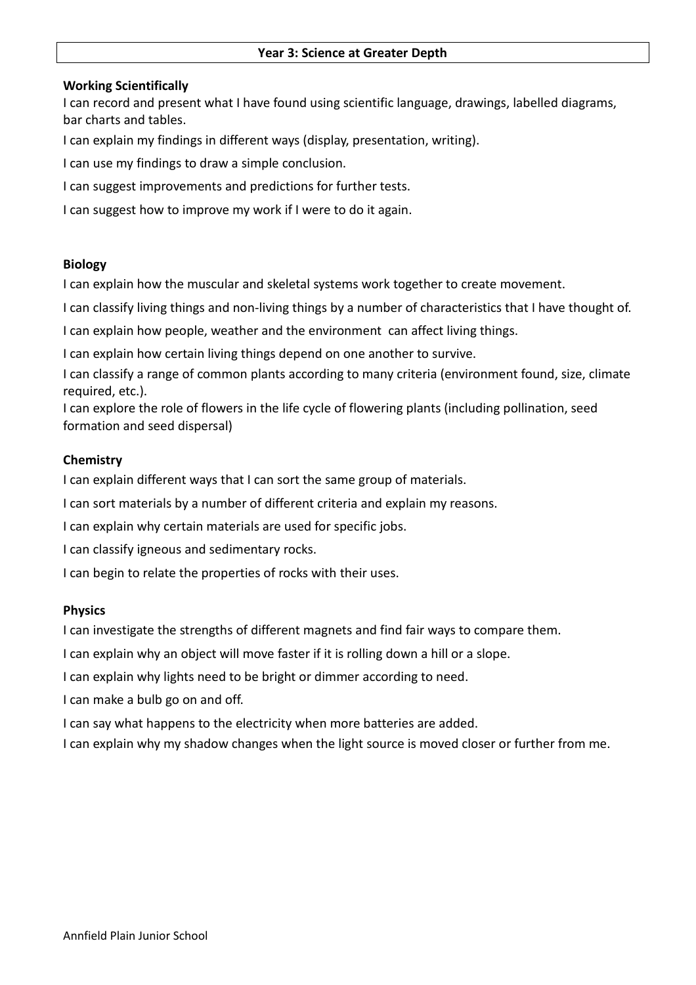#### Working Scientifically

I can record and present what I have found using scientific language, drawings, labelled diagrams, bar charts and tables.

I can explain my findings in different ways (display, presentation, writing).

I can use my findings to draw a simple conclusion.

I can suggest improvements and predictions for further tests.

I can suggest how to improve my work if I were to do it again.

#### Biology

I can explain how the muscular and skeletal systems work together to create movement.

I can classify living things and non-living things by a number of characteristics that I have thought of.

I can explain how people, weather and the environment can affect living things.

I can explain how certain living things depend on one another to survive.

I can classify a range of common plants according to many criteria (environment found, size, climate required, etc.).

I can explore the role of flowers in the life cycle of flowering plants (including pollination, seed formation and seed dispersal)

#### **Chemistry**

I can explain different ways that I can sort the same group of materials.

I can sort materials by a number of different criteria and explain my reasons.

I can explain why certain materials are used for specific jobs.

I can classify igneous and sedimentary rocks.

I can begin to relate the properties of rocks with their uses.

#### Physics

I can investigate the strengths of different magnets and find fair ways to compare them.

I can explain why an object will move faster if it is rolling down a hill or a slope.

I can explain why lights need to be bright or dimmer according to need.

I can make a bulb go on and off.

I can say what happens to the electricity when more batteries are added.

I can explain why my shadow changes when the light source is moved closer or further from me.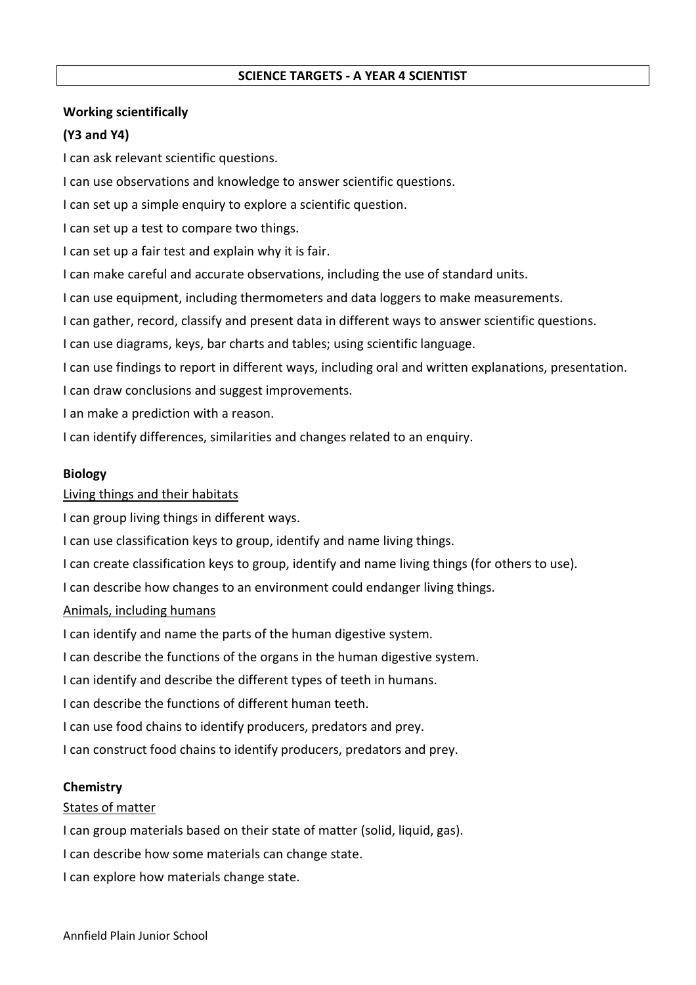### SCIENCE TARGETS - A YEAR 4 SCIENTIST

### Working scientifically

# (Y3 and Y4)

I can ask relevant scientific questions.

I can use observations and knowledge to answer scientific questions.

I can set up a simple enquiry to explore a scientific question.

I can set up a test to compare two things.

I can set up a fair test and explain why it is fair.

I can make careful and accurate observations, including the use of standard units.

I can use equipment, including thermometers and data loggers to make measurements.

I can gather, record, classify and present data in different ways to answer scientific questions.

I can use diagrams, keys, bar charts and tables; using scientific language.

I can use findings to report in different ways, including oral and written explanations, presentation.

I can draw conclusions and suggest improvements.

I an make a prediction with a reason.

I can identify differences, similarities and changes related to an enquiry.

### Biology

Living things and their habitats

I can group living things in different ways.

I can use classification keys to group, identify and name living things.

I can create classification keys to group, identify and name living things (for others to use).

I can describe how changes to an environment could endanger living things.

#### Animals, including humans

I can identify and name the parts of the human digestive system.

I can describe the functions of the organs in the human digestive system.

I can identify and describe the different types of teeth in humans.

I can describe the functions of different human teeth.

I can use food chains to identify producers, predators and prey.

I can construct food chains to identify producers, predators and prey.

#### **Chemistry**

#### States of matter

I can group materials based on their state of matter (solid, liquid, gas).

I can describe how some materials can change state.

I can explore how materials change state.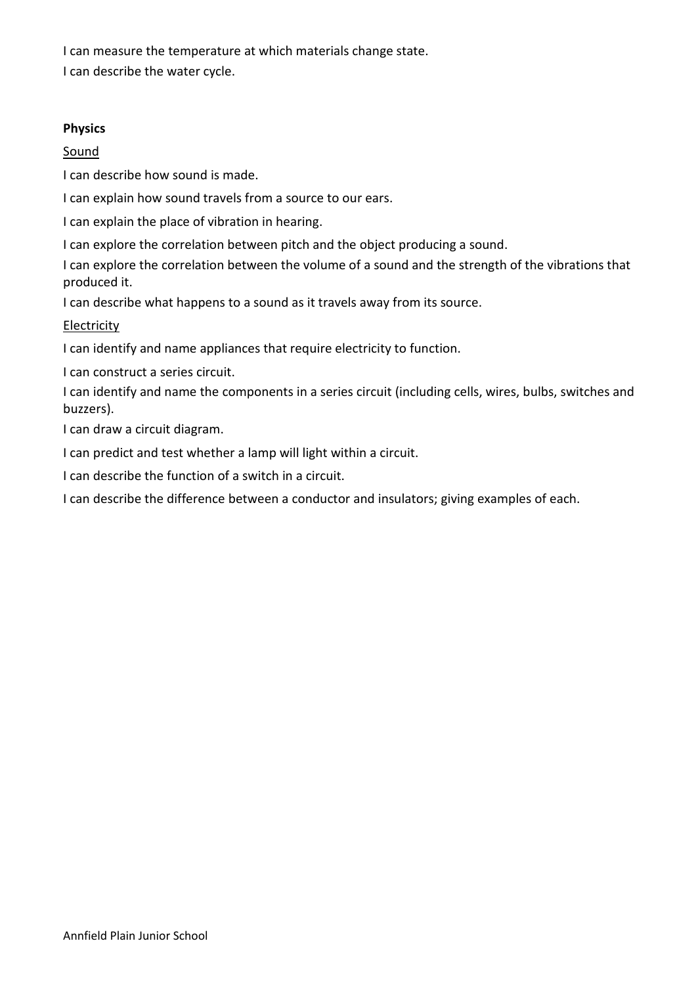I can measure the temperature at which materials change state.

I can describe the water cycle.

### Physics

# Sound

I can describe how sound is made.

I can explain how sound travels from a source to our ears.

I can explain the place of vibration in hearing.

I can explore the correlation between pitch and the object producing a sound.

I can explore the correlation between the volume of a sound and the strength of the vibrations that produced it.

I can describe what happens to a sound as it travels away from its source.

# Electricity

I can identify and name appliances that require electricity to function.

I can construct a series circuit.

I can identify and name the components in a series circuit (including cells, wires, bulbs, switches and buzzers).

I can draw a circuit diagram.

I can predict and test whether a lamp will light within a circuit.

I can describe the function of a switch in a circuit.

I can describe the difference between a conductor and insulators; giving examples of each.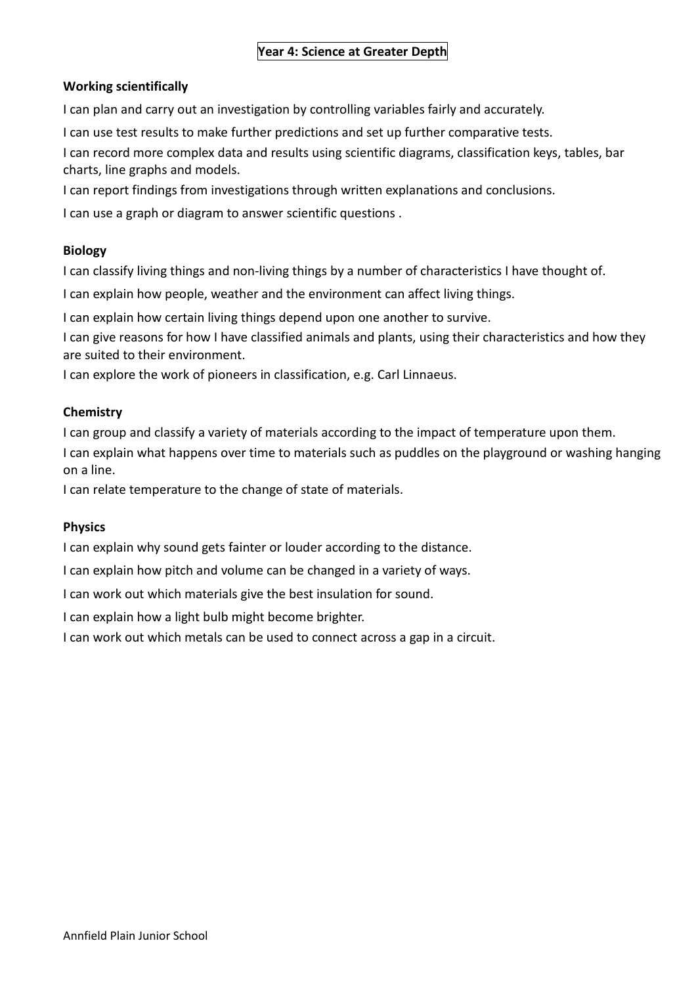# Year 4: Science at Greater Depth

### Working scientifically

I can plan and carry out an investigation by controlling variables fairly and accurately.

I can use test results to make further predictions and set up further comparative tests.

I can record more complex data and results using scientific diagrams, classification keys, tables, bar charts, line graphs and models.

I can report findings from investigations through written explanations and conclusions.

I can use a graph or diagram to answer scientific questions .

### Biology

I can classify living things and non-living things by a number of characteristics I have thought of.

I can explain how people, weather and the environment can affect living things.

I can explain how certain living things depend upon one another to survive.

I can give reasons for how I have classified animals and plants, using their characteristics and how they are suited to their environment.

I can explore the work of pioneers in classification, e.g. Carl Linnaeus.

### **Chemistry**

I can group and classify a variety of materials according to the impact of temperature upon them.

I can explain what happens over time to materials such as puddles on the playground or washing hanging on a line.

I can relate temperature to the change of state of materials.

# Physics

I can explain why sound gets fainter or louder according to the distance.

I can explain how pitch and volume can be changed in a variety of ways.

I can work out which materials give the best insulation for sound.

I can explain how a light bulb might become brighter.

I can work out which metals can be used to connect across a gap in a circuit.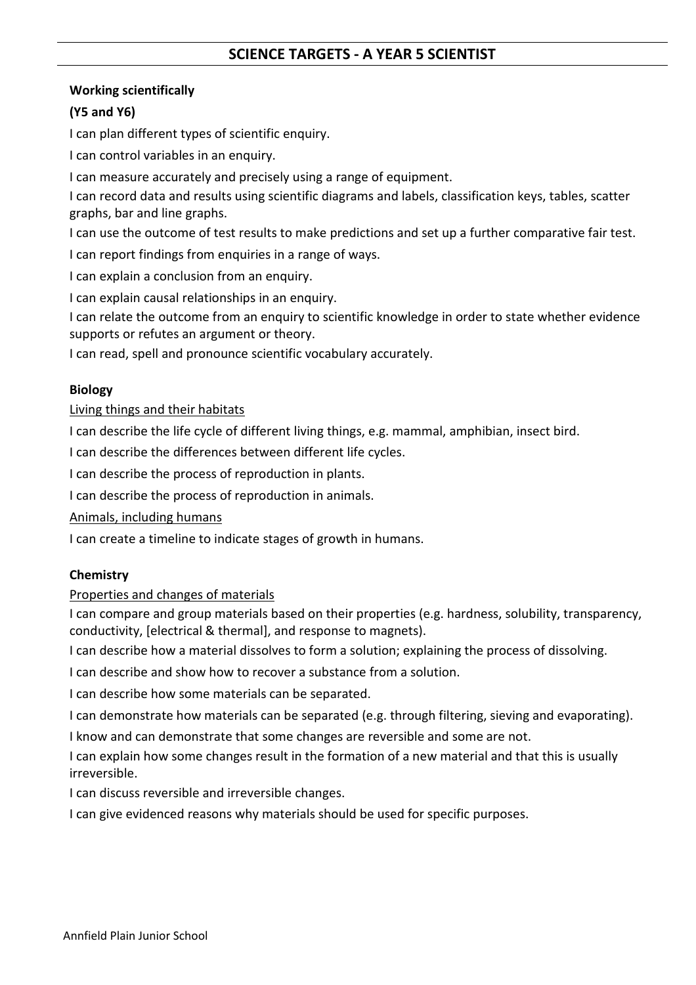# SCIENCE TARGETS - A YEAR 5 SCIENTIST

# Working scientifically

# (Y5 and Y6)

I can plan different types of scientific enquiry.

I can control variables in an enquiry.

I can measure accurately and precisely using a range of equipment.

I can record data and results using scientific diagrams and labels, classification keys, tables, scatter graphs, bar and line graphs.

I can use the outcome of test results to make predictions and set up a further comparative fair test.

I can report findings from enquiries in a range of ways.

I can explain a conclusion from an enquiry.

I can explain causal relationships in an enquiry.

I can relate the outcome from an enquiry to scientific knowledge in order to state whether evidence supports or refutes an argument or theory.

I can read, spell and pronounce scientific vocabulary accurately.

# Biology

# Living things and their habitats

I can describe the life cycle of different living things, e.g. mammal, amphibian, insect bird.

I can describe the differences between different life cycles.

I can describe the process of reproduction in plants.

I can describe the process of reproduction in animals.

Animals, including humans

I can create a timeline to indicate stages of growth in humans.

# **Chemistry**

# Properties and changes of materials

I can compare and group materials based on their properties (e.g. hardness, solubility, transparency, conductivity, [electrical & thermal], and response to magnets).

I can describe how a material dissolves to form a solution; explaining the process of dissolving.

I can describe and show how to recover a substance from a solution.

I can describe how some materials can be separated.

I can demonstrate how materials can be separated (e.g. through filtering, sieving and evaporating).

I know and can demonstrate that some changes are reversible and some are not.

I can explain how some changes result in the formation of a new material and that this is usually irreversible.

I can discuss reversible and irreversible changes.

I can give evidenced reasons why materials should be used for specific purposes.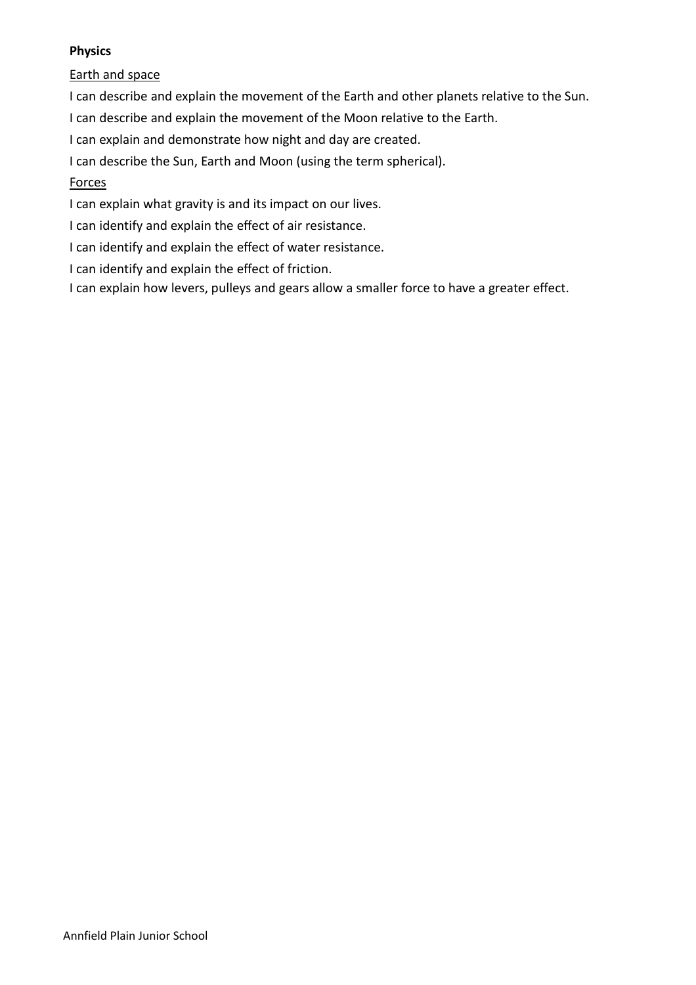# Physics

Earth and space

I can describe and explain the movement of the Earth and other planets relative to the Sun.

I can describe and explain the movement of the Moon relative to the Earth.

I can explain and demonstrate how night and day are created.

I can describe the Sun, Earth and Moon (using the term spherical).

# Forces

I can explain what gravity is and its impact on our lives.

- I can identify and explain the effect of air resistance.
- I can identify and explain the effect of water resistance.
- I can identify and explain the effect of friction.

I can explain how levers, pulleys and gears allow a smaller force to have a greater effect.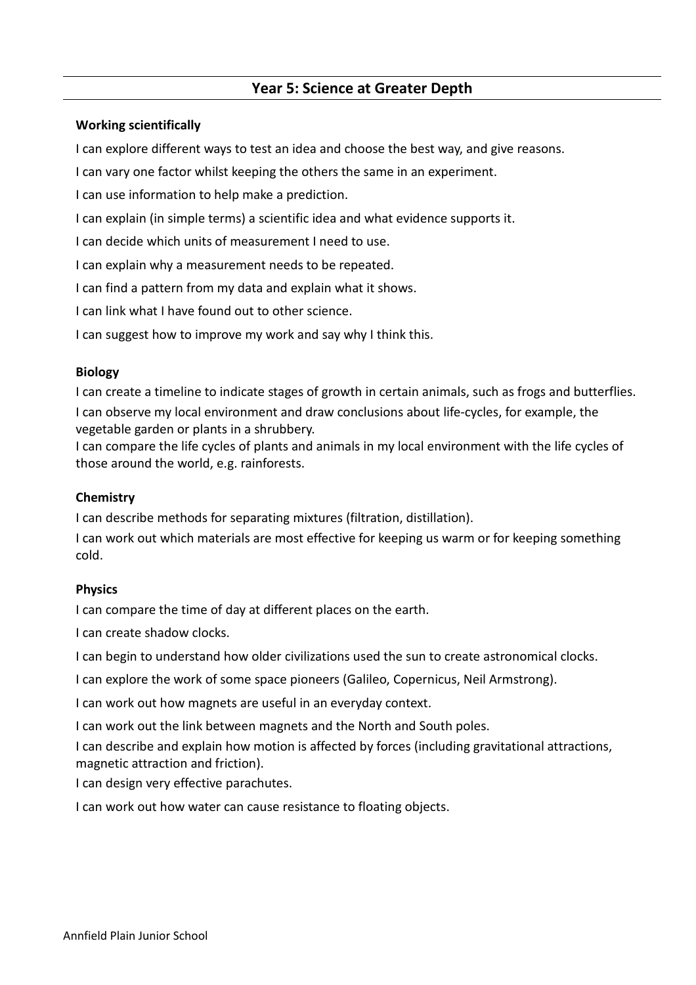# Year 5: Science at Greater Depth

### Working scientifically

I can explore different ways to test an idea and choose the best way, and give reasons.

I can vary one factor whilst keeping the others the same in an experiment.

I can use information to help make a prediction.

I can explain (in simple terms) a scientific idea and what evidence supports it.

I can decide which units of measurement I need to use.

I can explain why a measurement needs to be repeated.

I can find a pattern from my data and explain what it shows.

I can link what I have found out to other science.

I can suggest how to improve my work and say why I think this.

### Biology

I can create a timeline to indicate stages of growth in certain animals, such as frogs and butterflies. I can observe my local environment and draw conclusions about life-cycles, for example, the vegetable garden or plants in a shrubbery.

I can compare the life cycles of plants and animals in my local environment with the life cycles of those around the world, e.g. rainforests.

### **Chemistry**

I can describe methods for separating mixtures (filtration, distillation).

I can work out which materials are most effective for keeping us warm or for keeping something cold.

# **Physics**

I can compare the time of day at different places on the earth.

I can create shadow clocks.

I can begin to understand how older civilizations used the sun to create astronomical clocks.

I can explore the work of some space pioneers (Galileo, Copernicus, Neil Armstrong).

I can work out how magnets are useful in an everyday context.

I can work out the link between magnets and the North and South poles.

I can describe and explain how motion is affected by forces (including gravitational attractions, magnetic attraction and friction).

I can design very effective parachutes.

I can work out how water can cause resistance to floating objects.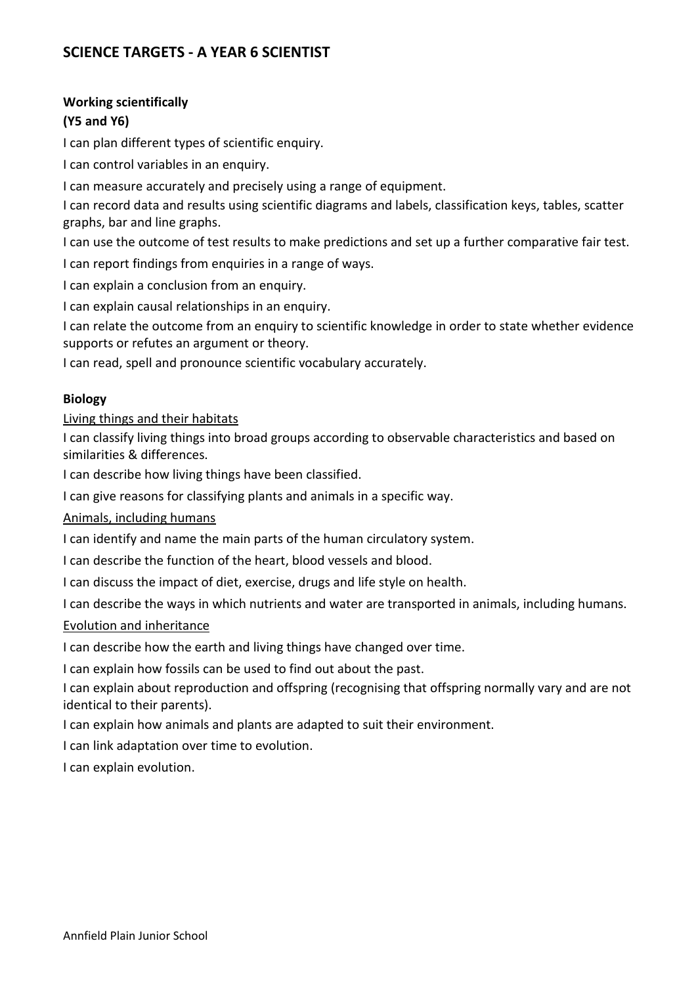# SCIENCE TARGETS - A YEAR 6 SCIENTIST

### Working scientifically

# (Y5 and Y6)

I can plan different types of scientific enquiry.

I can control variables in an enquiry.

I can measure accurately and precisely using a range of equipment.

I can record data and results using scientific diagrams and labels, classification keys, tables, scatter graphs, bar and line graphs.

I can use the outcome of test results to make predictions and set up a further comparative fair test.

I can report findings from enquiries in a range of ways.

I can explain a conclusion from an enquiry.

I can explain causal relationships in an enquiry.

I can relate the outcome from an enquiry to scientific knowledge in order to state whether evidence supports or refutes an argument or theory.

I can read, spell and pronounce scientific vocabulary accurately.

# Biology

### Living things and their habitats

I can classify living things into broad groups according to observable characteristics and based on similarities & differences.

I can describe how living things have been classified.

I can give reasons for classifying plants and animals in a specific way.

# Animals, including humans

I can identify and name the main parts of the human circulatory system.

I can describe the function of the heart, blood vessels and blood.

I can discuss the impact of diet, exercise, drugs and life style on health.

I can describe the ways in which nutrients and water are transported in animals, including humans.

#### Evolution and inheritance

I can describe how the earth and living things have changed over time.

I can explain how fossils can be used to find out about the past.

I can explain about reproduction and offspring (recognising that offspring normally vary and are not identical to their parents).

I can explain how animals and plants are adapted to suit their environment.

I can link adaptation over time to evolution.

I can explain evolution.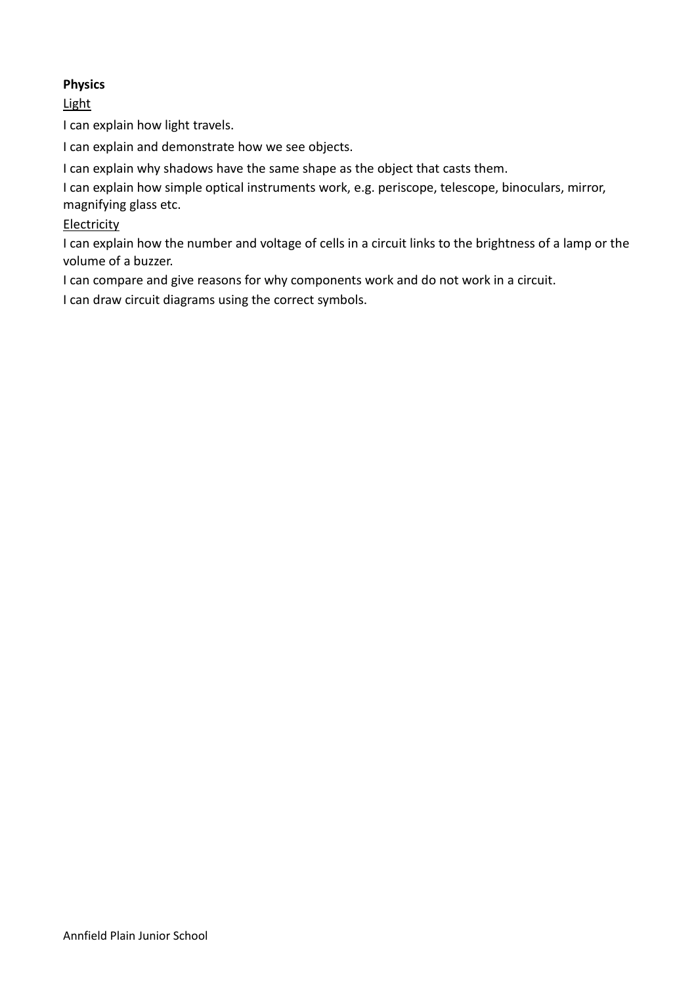# Physics

# **Light**

I can explain how light travels.

I can explain and demonstrate how we see objects.

I can explain why shadows have the same shape as the object that casts them.

I can explain how simple optical instruments work, e.g. periscope, telescope, binoculars, mirror, magnifying glass etc.

# **Electricity**

I can explain how the number and voltage of cells in a circuit links to the brightness of a lamp or the volume of a buzzer.

I can compare and give reasons for why components work and do not work in a circuit.

I can draw circuit diagrams using the correct symbols.